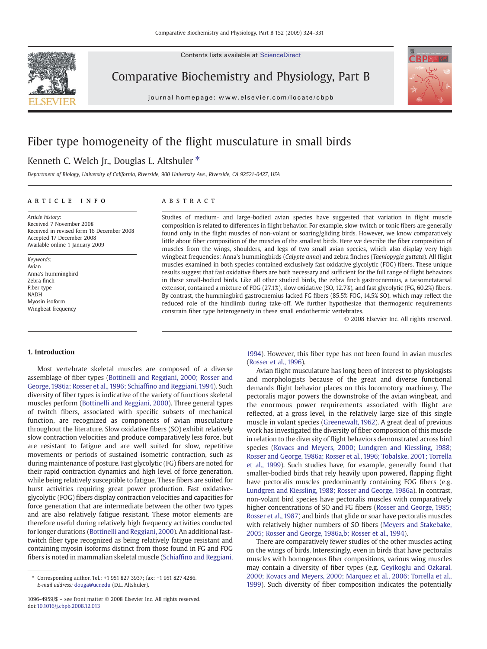Contents lists available at ScienceDirect



Comparative Biochemistry and Physiology, Part B





# Fiber type homogeneity of the flight musculature in small birds

## Kenneth C. Welch Jr., Douglas L. Altshuler  $*$

Department of Biology, University of California, Riverside, 900 University Ave., Riverside, CA 92521-0427, USA

#### article info abstract

Article history: Received 7 November 2008 Received in revised form 16 December 2008 Accepted 17 December 2008 Available online 1 January 2009

Keywords: Avian Anna's hummingbird Zebra finch Fiber type NADH Myosin isoform Wingbeat frequency

Studies of medium- and large-bodied avian species have suggested that variation in flight muscle composition is related to differences in flight behavior. For example, slow-twitch or tonic fibers are generally found only in the flight muscles of non-volant or soaring/gliding birds. However, we know comparatively little about fiber composition of the muscles of the smallest birds. Here we describe the fiber composition of muscles from the wings, shoulders, and legs of two small avian species, which also display very high wingbeat frequencies: Anna's hummingbirds (Calypte anna) and zebra finches (Taeniopygia guttata). All flight muscles examined in both species contained exclusively fast oxidative glycolytic (FOG) fibers. These unique results suggest that fast oxidative fibers are both necessary and sufficient for the full range of flight behaviors in these small-bodied birds. Like all other studied birds, the zebra finch gastrocnemius, a tarsometatarsal extensor, contained a mixture of FOG (27.1%), slow oxidative (SO, 12.7%), and fast glycolytic (FG, 60.2%) fibers. By contrast, the hummingbird gastrocnemius lacked FG fibers (85.5% FOG, 14.5% SO), which may reflect the reduced role of the hindlimb during take-off. We further hypothesize that thermogenic requirements constrain fiber type heterogeneity in these small endothermic vertebrates.

© 2008 Elsevier Inc. All rights reserved.

#### 1. Introduction

Most vertebrate skeletal muscles are composed of a diverse assemblage of fiber types [\(Bottinelli and Reggiani, 2000; Rosser and](#page-7-0) [George, 1986a; Rosser et al., 1996; Schiaf](#page-7-0)fino and Reggiani, 1994). Such diversity of fiber types is indicative of the variety of functions skeletal muscles perform ([Bottinelli and Reggiani, 2000\)](#page-7-0). Three general types of twitch fibers, associated with specific subsets of mechanical function, are recognized as components of avian musculature throughout the literature. Slow oxidative fibers (SO) exhibit relatively slow contraction velocities and produce comparatively less force, but are resistant to fatigue and are well suited for slow, repetitive movements or periods of sustained isometric contraction, such as during maintenance of posture. Fast glycolytic (FG) fibers are noted for their rapid contraction dynamics and high level of force generation, while being relatively susceptible to fatigue. These fibers are suited for burst activities requiring great power production. Fast oxidativeglycolytic (FOG) fibers display contraction velocities and capacities for force generation that are intermediate between the other two types and are also relatively fatigue resistant. These motor elements are therefore useful during relatively high frequency activities conducted for longer durations ([Bottinelli and Reggiani, 2000](#page-7-0)). An additional fasttwitch fiber type recognized as being relatively fatigue resistant and containing myosin isoforms distinct from those found in FG and FOG fibers is noted in mammalian skeletal muscle (Schiaffi[no and Reggiani,](#page-7-0)

[1994](#page-7-0)). However, this fiber type has not been found in avian muscles ([Rosser et al., 1996](#page-7-0)).

Avian flight musculature has long been of interest to physiologists and morphologists because of the great and diverse functional demands flight behavior places on this locomotory machinery. The pectoralis major powers the downstroke of the avian wingbeat, and the enormous power requirements associated with flight are reflected, at a gross level, in the relatively large size of this single muscle in volant species ([Greenewalt, 1962\)](#page-7-0). A great deal of previous work has investigated the diversity of fiber composition of this muscle in relation to the diversity of flight behaviors demonstrated across bird species ([Kovacs and Meyers, 2000; Lundgren and Kiessling, 1988;](#page-7-0) [Rosser and George, 1986a; Rosser et al., 1996; Tobalske, 2001; Torrella](#page-7-0) [et al., 1999\)](#page-7-0). Such studies have, for example, generally found that smaller-bodied birds that rely heavily upon powered, flapping flight have pectoralis muscles predominantly containing FOG fibers (e.g. [Lundgren and Kiessling, 1988; Rosser and George, 1986a](#page-7-0)). In contrast, non-volant bird species have pectoralis muscles with comparatively higher concentrations of SO and FG fibers ([Rosser and George, 1985;](#page-7-0) [Rosser et al., 1987\)](#page-7-0) and birds that glide or soar have pectoralis muscles with relatively higher numbers of SO fibers ([Meyers and Stakebake,](#page-7-0) [2005; Rosser and George, 1986a,b; Rosser et al., 1994\)](#page-7-0).

There are comparatively fewer studies of the other muscles acting on the wings of birds. Interestingly, even in birds that have pectoralis muscles with homogenous fiber compositions, various wing muscles may contain a diversity of fiber types (e.g. [Geyikoglu and Ozkaral,](#page-7-0) [2000; Kovacs and Meyers, 2000; Marquez et al., 2006; Torrella et al.,](#page-7-0) [1999](#page-7-0)). Such diversity of fiber composition indicates the potentially

<sup>⁎</sup> Corresponding author. Tel.: +1 951 827 3937; fax: +1 951 827 4286. E-mail address: [douga@ucr.edu](mailto:douga@ucr.edu) (D.L. Altshuler).

<sup>1096-4959/\$</sup> – see front matter © 2008 Elsevier Inc. All rights reserved. doi[:10.1016/j.cbpb.2008.12.013](http://dx.doi.org/10.1016/j.cbpb.2008.12.013)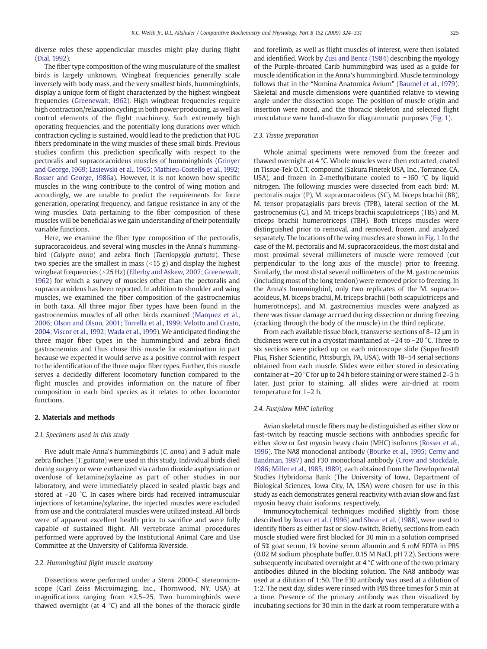diverse roles these appendicular muscles might play during flight ([Dial, 1992](#page-7-0)).

The fiber type composition of the wing musculature of the smallest birds is largely unknown. Wingbeat frequencies generally scale inversely with body mass, and the very smallest birds, hummingbirds, display a unique form of flight characterized by the highest wingbeat frequencies [\(Greenewalt, 1962](#page-7-0)). High wingbeat frequencies require high contraction/relaxation cycling in both power producing, as well as control elements of the flight machinery. Such extremely high operating frequencies, and the potentially long durations over which contraction cycling is sustained, would lead to the prediction that FOG fibers predominate in the wing muscles of these small birds. Previous studies confirm this prediction specifically with respect to the pectoralis and supracoracoideus muscles of hummingbirds [\(Grinyer](#page-7-0) [and George, 1969; Lasiewski et al., 1965; Mathieu-Costello et al., 1992;](#page-7-0) [Rosser and George, 1986a\)](#page-7-0). However, it is not known how specific muscles in the wing contribute to the control of wing motion and accordingly, we are unable to predict the requirements for force generation, operating frequency, and fatigue resistance in any of the wing muscles. Data pertaining to the fiber composition of these muscles will be beneficial as we gain understanding of their potentially variable functions.

Here, we examine the fiber type composition of the pectoralis, supracoracoideus, and several wing muscles in the Anna's hummingbird (Calypte anna) and zebra finch (Taeniopygia guttata). These two species are the smallest in mass  $($ <15 g) and display the highest wingbeat frequencies (> 25 Hz) [\(Ellerby and Askew, 2007; Greenewalt,](#page-7-0) [1962](#page-7-0)) for which a survey of muscles other than the pectoralis and supracoracoideus has been reported. In addition to shoulder and wing muscles, we examined the fiber composition of the gastrocnemius in both taxa. All three major fiber types have been found in the gastrocnemius muscles of all other birds examined ([Marquez et al.,](#page-7-0) [2006; Olson and Olson, 2001; Torrella et al., 1999; Velotto and Crasto,](#page-7-0) [2004; Viscor et al., 1992; Wada et al., 1999\)](#page-7-0). We anticipated finding the three major fiber types in the hummingbird and zebra finch gastrocnemius and thus chose this muscle for examination in part because we expected it would serve as a positive control with respect to the identification of the three major fiber types. Further, this muscle serves a decidedly different locomotory function compared to the flight muscles and provides information on the nature of fiber composition in each bird species as it relates to other locomotor functions.

#### 2. Materials and methods

#### 2.1. Specimens used in this study

Five adult male Anna's hummingbirds (C. anna) and 3 adult male zebra finches (T. guttata) were used in this study. Individual birds died during surgery or were euthanized via carbon dioxide asphyxiation or overdose of ketamine/xylazine as part of other studies in our laboratory, and were immediately placed in sealed plastic bags and stored at –20 °C. In cases where birds had received intramuscular injections of ketamine/xylazine, the injected muscles were excluded from use and the contralateral muscles were utilized instead. All birds were of apparent excellent health prior to sacrifice and were fully capable of sustained flight. All vertebrate animal procedures performed were approved by the Institutional Animal Care and Use Committee at the University of California Riverside.

#### 2.2. Hummingbird flight muscle anatomy

Dissections were performed under a Stemi 2000-C stereomicroscope (Carl Zeiss Microimaging, Inc., Thornwood, NY, USA) at magnifications ranging from ×2.5–25. Two hummingbirds were thawed overnight (at 4 °C) and all the bones of the thoracic girdle

and forelimb, as well as flight muscles of interest, were then isolated and identified. Work by [Zusi and Bentz \(1984\)](#page-7-0) describing the myology of the Purple-throated Carib hummingbird was used as a guide for muscle identification in the Anna's hummingbird. Muscle terminology follows that in the "Nomina Anatomica Avium" [\(Baumel et al., 1979\)](#page-6-0). Skeletal and muscle dimensions were quantified relative to viewing angle under the dissection scope. The position of muscle origin and insertion were noted, and the thoracic skeleton and selected flight musculature were hand-drawn for diagrammatic purposes ([Fig. 1](#page-2-0)).

#### 2.3. Tissue preparation

Whole animal specimens were removed from the freezer and thawed overnight at 4 °C. Whole muscles were then extracted, coated in Tissue-Tek O.C.T. compound (Sakura Finetek USA, Inc., Torrance, CA, USA), and frozen in 2-methylbutane cooled to −160 °C by liquid nitrogen. The following muscles were dissected from each bird: M. pectoralis major (P), M. supracoracoideus (SC), M. biceps brachii (BB), M. tensor propatagialis pars brevis (TPB), lateral section of the M. gastrocnemius (G), and M. triceps brachii scapulotriceps (TBS) and M. triceps brachii humerotriceps (TBH). Both triceps muscles were distinguished prior to removal, and removed, frozen, and analyzed separately. The locations of the wing muscles are shown in [Fig. 1.](#page-2-0) In the case of the M. pectoralis and M. supracoracoideus, the most distal and most proximal several millimeters of muscle were removed (cut perpendicular to the long axis of the muscle) prior to freezing. Similarly, the most distal several millimeters of the M. gastrocnemius (including most of the long tendon) were removed prior to freezing. In the Anna's hummingbird, only two replicates of the M. supracoracoideus, M. biceps brachii, M. triceps brachii (both scapulotriceps and humerotriceps), and M. gastrocnemius muscles were analyzed as there was tissue damage accrued during dissection or during freezing (cracking through the body of the muscle) in the third replicate.

From each available tissue block, transverse sections of 8–12 μm in thickness were cut in a cryostat maintained at −24 to −20 °C. Three to six sections were picked up on each microscope slide (Superfrost® Plus, Fisher Scientific, Pittsburgh, PA, USA), with 18–54 serial sections obtained from each muscle. Slides were either stored in desiccating container at −20 °C for up to 24 h before staining or were stained 2–5 h later. Just prior to staining, all slides were air-dried at room temperature for 1–2 h.

#### 2.4. Fast/slow MHC labeling

Avian skeletal muscle fibers may be distinguished as either slow or fast-twitch by reacting muscle sections with antibodies specific for either slow or fast myosin heavy chain (MHC) isoforms [\(Rosser et al.,](#page-7-0) [1996](#page-7-0)). The NA8 monoclonal antibody [\(Bourke et al., 1995; Cerny and](#page-7-0) [Bandman, 1987\)](#page-7-0) and F30 monoclonal antibody [\(Crow and Stockdale,](#page-7-0) [1986; Miller et al., 1985, 1989\)](#page-7-0), each obtained from the Developmental Studies Hybridoma Bank (The University of Iowa, Department of Biological Sciences, Iowa City, IA, USA) were chosen for use in this study as each demonstrates general reactivity with avian slow and fast myosin heavy chain isoforms, respectively.

Immunocytochemical techniques modified slightly from those described by [Rosser et al. \(1996\)](#page-7-0) and [Shear et al. \(1988\),](#page-7-0) were used to identify fibers as either fast or slow-twitch. Briefly, sections from each muscle studied were first blocked for 30 min in a solution comprised of 5% goat serum, 1% bovine serum albumin and 5 mM EDTA in PBS (0.02 M sodium phosphate buffer, 0.15 M NaCl, pH 7.2). Sections were subsequently incubated overnight at 4 °C with one of the two primary antibodies diluted in the blocking solution. The NA8 antibody was used at a dilution of 1:50. The F30 antibody was used at a dilution of 1:2. The next day, slides were rinsed with PBS three times for 5 min at a time. Presence of the primary antibody was then visualized by incubating sections for 30 min in the dark at room temperature with a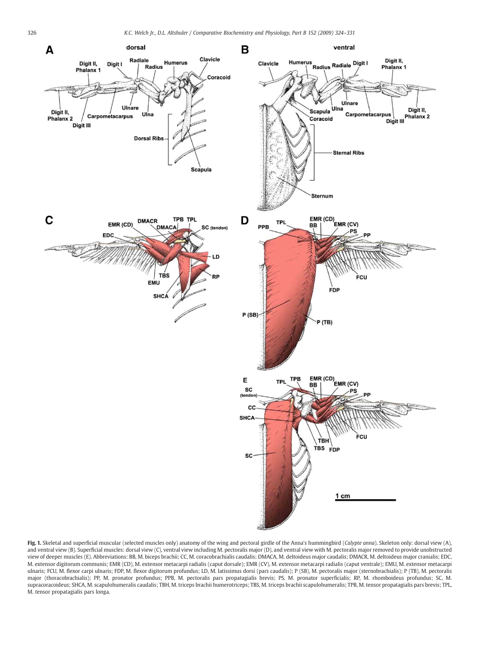<span id="page-2-0"></span>

Fig. 1. Skeletal and superficial muscular (selected muscles only) anatomy of the wing and pectoral girdle of the Anna's hummingbird (Calypte anna). Skeleton only: dorsal view (A), and ventral view (B). Superficial muscles: dorsal view (C), ventral view including M. pectoralis major (D), and ventral view with M. pectoralis major removed to provide unobstructed view of deeper muscles (E). Abbreviations: BB, M. biceps brachii; CC, M. coracobrachialis caudalis; DMACA, M. deltoideus major caudalis; DMACR, M. deltoideus major cranialis; EDC, M. extensor digitorum communis; EMR (CD), M. extensor metacarpi radialis (caput dorsale); EMR (CV), M. extensor metacarpi radialis (caput ventrale); EMU, M. extensor metacarpi ulnaris; FCU, M. flexor carpi ulnaris; FDP, M. flexor digitorum profundus; LD, M. latissimus dorsi (pars caudalis); P (SB), M. pectoralis major (sternobrachialis); P (TB), M. pectoralis major (thoracobrachialis); PP, M. pronator profundus; PPB, M. pectoralis pars propatagialis brevis; PS, M. pronator superficialis; RP, M. rhomboideus profundus; SC, M. supracoracoideus; SHCA, M. scapulohumeralis caudalis; TBH, M. triceps brachii humerotriceps; TBS, M. triceps brachii scapulohumeralis; TPB, M. tensor propatagialis pars brevis; TPL, M. tensor propatagialis pars longa.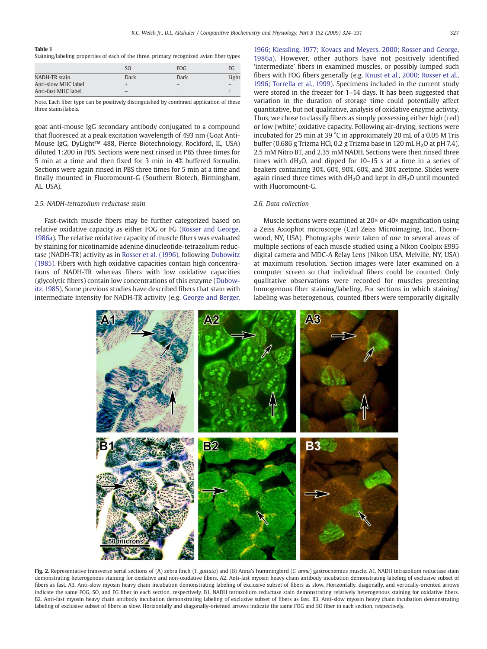#### <span id="page-3-0"></span>Table 1

Staining/labeling properties of each of the three, primary recognized avian fiber types

|                     | SO   | FOG <sub>1</sub>         | FG   |
|---------------------|------|--------------------------|------|
| NADH-TR stain       | Dark | Dark                     | ight |
| Anti-slow MHC label |      | $\overline{\phantom{0}}$ |      |
| Anti-fast MHC label |      |                          |      |

Note. Each fiber type can be positively distinguished by combined application of these three stains/labels.

goat anti-mouse IgG secondary antibody conjugated to a compound that fluoresced at a peak excitation wavelength of 493 nm (Goat Anti-Mouse IgG, DyLight™ 488, Pierce Biotechnology, Rockford, IL, USA) diluted 1:200 in PBS. Sections were next rinsed in PBS three times for 5 min at a time and then fixed for 3 min in 4% buffered formalin. Sections were again rinsed in PBS three times for 5 min at a time and finally mounted in Fluoromount-G (Southern Biotech, Birmingham, AL, USA).

#### 2.5. NADH-tetrazolium reductase stain

Fast-twitch muscle fibers may be further categorized based on relative oxidative capacity as either FOG or FG ([Rosser and George,](#page-7-0) [1986a](#page-7-0)). The relative oxidative capacity of muscle fibers was evaluated by staining for nicotinamide adenine dinucleotide-tetrazolium reductase (NADH-TR) activity as in [Rosser et al. \(1996\)](#page-7-0), following [Dubowitz](#page-7-0) [\(1985\)](#page-7-0). Fibers with high oxidative capacities contain high concentrations of NADH-TR whereas fibers with low oxidative capacities (glycolytic fibers) contain low concentrations of this enzyme [\(Dubow](#page-7-0)[itz, 1985\)](#page-7-0). Some previous studies have described fibers that stain with intermediate intensity for NADH-TR activity (e.g. [George and Berger,](#page-7-0) [1966; Kiessling, 1977; Kovacs and Meyers, 2000; Rosser and George,](#page-7-0) [1986a](#page-7-0)). However, other authors have not positively identified 'intermediate' fibers in examined muscles, or possibly lumped such fibers with FOG fibers generally (e.g. [Knust et al., 2000; Rosser et al.,](#page-7-0) [1996; Torrella et al., 1999](#page-7-0)). Specimens included in the current study were stored in the freezer for 1–14 days. It has been suggested that variation in the duration of storage time could potentially affect quantitative, but not qualitative, analysis of oxidative enzyme activity. Thus, we chose to classify fibers as simply possessing either high (red) or low (white) oxidative capacity. Following air-drying, sections were incubated for 25 min at 39 °C in approximately 20 mL of a 0.05 M Tris buffer (0.686 g Trizma HCl, 0.2 g Trizma base in 120 mL  $H<sub>2</sub>$ O at pH 7.4), 2.5 mM Nitro BT, and 2.35 mM NADH. Sections were then rinsed three times with dH<sub>2</sub>O, and dipped for 10-15 s at a time in a series of beakers containing 30%, 60%, 90%, 60%, and 30% acetone. Slides were again rinsed three times with  $dH<sub>2</sub>O$  and kept in  $dH<sub>2</sub>O$  until mounted with Fluoromount-G.

#### 2.6. Data collection

Muscle sections were examined at 20× or 40× magnification using a Zeiss Axiophot microscope (Carl Zeiss Microimaging, Inc., Thornwood, NY, USA). Photographs were taken of one to several areas of multiple sections of each muscle studied using a Nikon Coolpix E995 digital camera and MDC-A Relay Lens (Nikon USA, Melville, NY, USA) at maximum resolution. Section images were later examined on a computer screen so that individual fibers could be counted. Only qualitative observations were recorded for muscles presenting homogenous fiber staining/labeling. For sections in which staining/ labeling was heterogenous, counted fibers were temporarily digitally



Fig. 2. Representative transverse serial sections of (A) zebra finch (T. guttata) and (B) Anna's hummingbird (C. anna) gastrocnemius muscle. A1. NADH tetrazolium reductase stain demonstrating heterogenous staining for oxidative and non-oxidative fibers. A2. Anti-fast myosin heavy chain antibody incubation demonstrating labeling of exclusive subset of fibers as fast. A3. Anti-slow myosin heavy chain incubation demonstrating labeling of exclusive subset of fibers as slow. Horizontally, diagonally, and vertically-oriented arrows indicate the same FOG, SO, and FG fiber in each section, respectively. B1. NADH tetrazolium reductase stain demonstrating relatively heterogenous staining for oxidative fibers. B2. Anti-fast myosin heavy chain antibody incubation demonstrating labeling of exclusive subset of fibers as fast. B3. Anti-slow myosin heavy chain incubation demonstrating labeling of exclusive subset of fibers as slow. Horizontally and diagonally-oriented arrows indicate the same FOG and SO fiber in each section, respectively.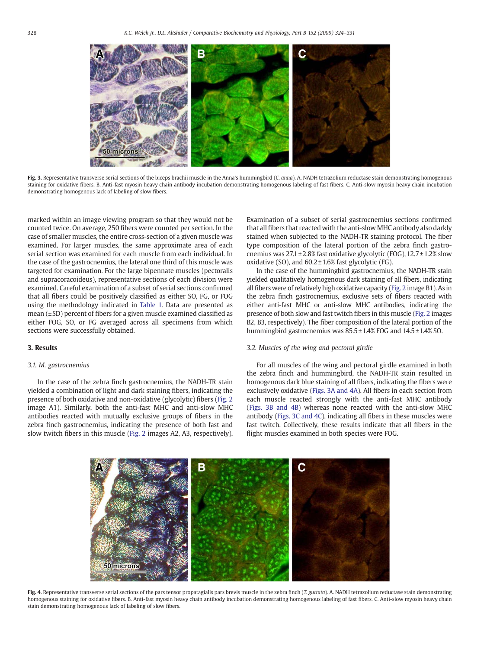

Fig. 3. Representative transverse serial sections of the biceps brachii muscle in the Anna's hummingbird (C. anna). A. NADH tetrazolium reductase stain demonstrating homogenous staining for oxidative fibers. B. Anti-fast myosin heavy chain antibody incubation demonstrating homogenous labeling of fast fibers. C. Anti-slow myosin heavy chain incubation demonstrating homogenous lack of labeling of slow fibers.

marked within an image viewing program so that they would not be counted twice. On average, 250 fibers were counted per section. In the case of smaller muscles, the entire cross-section of a given muscle was examined. For larger muscles, the same approximate area of each serial section was examined for each muscle from each individual. In the case of the gastrocnemius, the lateral one third of this muscle was targeted for examination. For the large bipennate muscles (pectoralis and supracoracoideus), representative sections of each division were examined. Careful examination of a subset of serial sections confirmed that all fibers could be positively classified as either SO, FG, or FOG using the methodology indicated in [Table 1.](#page-3-0) Data are presented as mean (±SD) percent of fibers for a given muscle examined classified as either FOG, SO, or FG averaged across all specimens from which sections were successfully obtained.

#### 3. Results

#### 3.1. M. gastrocnemius

In the case of the zebra finch gastrocnemius, the NADH-TR stain yielded a combination of light and dark staining fibers, indicating the presence of both oxidative and non-oxidative (glycolytic) fibers ([Fig. 2](#page-3-0) image A1). Similarly, both the anti-fast MHC and anti-slow MHC antibodies reacted with mutually exclusive groups of fibers in the zebra finch gastrocnemius, indicating the presence of both fast and slow twitch fibers in this muscle ([Fig. 2](#page-3-0) images A2, A3, respectively). Examination of a subset of serial gastrocnemius sections confirmed that all fibers that reacted with the anti-slow MHC antibody also darkly stained when subjected to the NADH-TR staining protocol. The fiber type composition of the lateral portion of the zebra finch gastrocnemius was 27.1 ± 2.8% fast oxidative glycolytic (FOG), 12.7 ± 1.2% slow oxidative (SO), and  $60.2 \pm 1.6\%$  fast glycolytic (FG).

In the case of the hummingbird gastrocnemius, the NADH-TR stain yielded qualitatively homogenous dark staining of all fibers, indicating all fibers were of relatively high oxidative capacity ([Fig. 2](#page-3-0) image B1). As in the zebra finch gastrocnemius, exclusive sets of fibers reacted with either anti-fast MHC or anti-slow MHC antibodies, indicating the presence of both slow and fast twitch fibers in this muscle [\(Fig. 2](#page-3-0) images B2, B3, respectively). The fiber composition of the lateral portion of the hummingbird gastrocnemius was 85.5±1.4% FOG and 14.5±1.4% SO.

#### 3.2. Muscles of the wing and pectoral girdle

For all muscles of the wing and pectoral girdle examined in both the zebra finch and hummingbird, the NADH-TR stain resulted in homogenous dark blue staining of all fibers, indicating the fibers were exclusively oxidative (Figs. 3A and 4A). All fibers in each section from each muscle reacted strongly with the anti-fast MHC antibody (Figs. 3B and 4B) whereas none reacted with the anti-slow MHC antibody (Figs. 3C and 4C), indicating all fibers in these muscles were fast twitch. Collectively, these results indicate that all fibers in the flight muscles examined in both species were FOG.



Fig. 4. Representative transverse serial sections of the pars tensor propatagialis pars brevis muscle in the zebra finch (T. guttata). A. NADH tetrazolium reductase stain demonstrating homogenous staining for oxidative fibers. B. Anti-fast myosin heavy chain antibody incubation demonstrating homogenous labeling of fast fibers. C. Anti-slow myosin heavy chain stain demonstrating homogenous lack of labeling of slow fibers.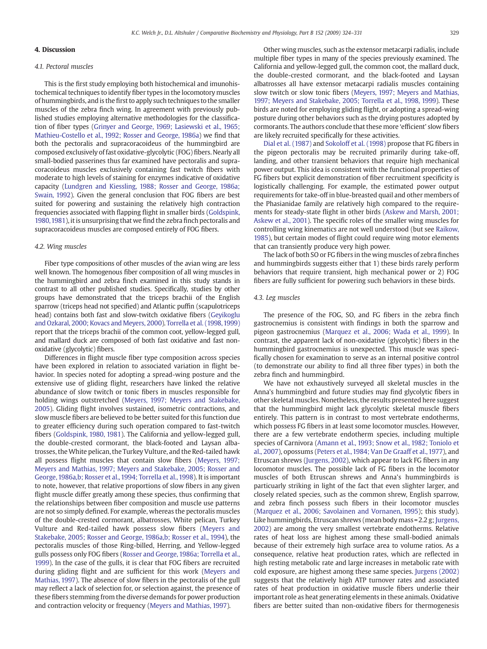### 4. Discussion

#### 4.1. Pectoral muscles

This is the first study employing both histochemical and imunohistochemical techniques to identify fiber types in the locomotory muscles of hummingbirds, and is the first to apply such techniques to the smaller muscles of the zebra finch wing. In agreement with previously published studies employing alternative methodologies for the classification of fiber types ([Grinyer and George, 1969; Lasiewski et al., 1965;](#page-7-0) [Mathieu-Costello et al., 1992; Rosser and George, 1986a](#page-7-0)) we find that both the pectoralis and supracoracoideus of the hummingbird are composed exclusively of fast oxidative-glycolytic (FOG) fibers. Nearly all small-bodied passerines thus far examined have pectoralis and supracoracoideus muscles exclusively containing fast twitch fibers with moderate to high levels of staining for enzymes indicative of oxidative capacity ([Lundgren and Kiessling, 1988; Rosser and George, 1986a;](#page-7-0) [Swain, 1992](#page-7-0)). Given the general conclusion that FOG fibers are best suited for powering and sustaining the relatively high contraction frequencies associated with flapping flight in smaller birds [\(Goldspink,](#page-7-0) [1980,1981](#page-7-0)), it is unsurprising that we find the zebra finch pectoralis and supracoracoideus muscles are composed entirely of FOG fibers.

#### 4.2. Wing muscles

Fiber type compositions of other muscles of the avian wing are less well known. The homogenous fiber composition of all wing muscles in the hummingbird and zebra finch examined in this study stands in contrast to all other published studies. Specifically, studies by other groups have demonstrated that the triceps brachii of the English sparrow (triceps head not specified) and Atlantic puffin (scapulotriceps head) contains both fast and slow-twitch oxidative fibers [\(Geyikoglu](#page-7-0) [and Ozkaral, 2000; Kovacs and Meyers, 2000\)](#page-7-0). [Torrella et al. \(1998,1999\)](#page-7-0) report that the triceps brachii of the common coot, yellow-legged gull, and mallard duck are composed of both fast oxidative and fast nonoxidative (glycolytic) fibers.

Differences in flight muscle fiber type composition across species have been explored in relation to associated variation in flight behavior. In species noted for adopting a spread-wing posture and the extensive use of gliding flight, researchers have linked the relative abundance of slow twitch or tonic fibers in muscles responsible for holding wings outstretched [\(Meyers, 1997; Meyers and Stakebake,](#page-7-0) [2005](#page-7-0)). Gliding flight involves sustained, isometric contractions, and slow muscle fibers are believed to be better suited for this function due to greater efficiency during such operation compared to fast-twitch fibers [\(Goldspink, 1980, 1981](#page-7-0)). The California and yellow-legged gull, the double-crested cormorant, the black-footed and Laysan albatrosses, theWhite pelican, the Turkey Vulture, and the Red-tailed hawk all possess flight muscles that contain slow fibers ([Meyers, 1997;](#page-7-0) [Meyers and Mathias, 1997; Meyers and Stakebake, 2005; Rosser and](#page-7-0) [George, 1986a,b; Rosser et al., 1994; Torrella et al.,1998](#page-7-0)). It is important to note, however, that relative proportions of slow fibers in any given flight muscle differ greatly among these species, thus confirming that the relationships between fiber composition and muscle use patterns are not so simply defined. For example, whereas the pectoralis muscles of the double-crested cormorant, albatrosses, White pelican, Turkey Vulture and Red-tailed hawk possess slow fibers ([Meyers and](#page-7-0) [Stakebake, 2005; Rosser and George, 1986a,b; Rosser et al., 1994\)](#page-7-0), the pectoralis muscles of those Ring-billed, Herring, and Yellow-legged gulls possess only FOG fibers [\(Rosser and George, 1986a; Torrella et al.,](#page-7-0) [1999](#page-7-0)). In the case of the gulls, it is clear that FOG fibers are recruited during gliding flight and are sufficient for this work ([Meyers and](#page-7-0) [Mathias, 1997](#page-7-0)). The absence of slow fibers in the pectoralis of the gull may reflect a lack of selection for, or selection against, the presence of these fibers stemming from the diverse demands for power production and contraction velocity or frequency [\(Meyers and Mathias, 1997\)](#page-7-0).

Other wing muscles, such as the extensor metacarpi radialis, include multiple fiber types in many of the species previously examined. The California and yellow-legged gull, the common coot, the mallard duck, the double-crested cormorant, and the black-footed and Laysan albatrosses all have extensor metacarpi radialis muscles containing slow twitch or slow tonic fibers ([Meyers, 1997; Meyers and Mathias,](#page-7-0) [1997; Meyers and Stakebake, 2005; Torrella et al., 1998, 1999](#page-7-0)). These birds are noted for employing gliding flight, or adopting a spread-wing posture during other behaviors such as the drying postures adopted by cormorants. The authors conclude that these more 'efficient' slow fibers are likely recruited specifically for these activities.

[Dial et al. \(1987\)](#page-7-0) and [Sokoloff et al. \(1998\)](#page-7-0) propose that FG fibers in the pigeon pectoralis may be recruited primarily during take-off, landing, and other transient behaviors that require high mechanical power output. This idea is consistent with the functional properties of FG fibers but explicit demonstration of fiber recruitment specificity is logistically challenging. For example, the estimated power output requirements for take-off in blue-breasted quail and other members of the Phasianidae family are relatively high compared to the requirements for steady-state flight in other birds [\(Askew and Marsh, 2001;](#page-6-0) [Askew et al., 2001](#page-6-0)). The specific roles of the smaller wing muscles for controlling wing kinematics are not well understood (but see [Raikow,](#page-7-0) [1985](#page-7-0)), but certain modes of flight could require wing motor elements that can transiently produce very high power.

The lack of both SO or FG fibers in the wing muscles of zebra finches and hummingbirds suggests either that 1) these birds rarely perform behaviors that require transient, high mechanical power or 2) FOG fibers are fully sufficient for powering such behaviors in these birds.

#### 4.3. Leg muscles

The presence of the FOG, SO, and FG fibers in the zebra finch gastrocnemius is consistent with findings in both the sparrow and pigeon gastrocnemius ([Marquez et al., 2006; Wada et al., 1999](#page-7-0)). In contrast, the apparent lack of non-oxidative (glycolytic) fibers in the hummingbird gastrocnemius is unexpected. This muscle was specifically chosen for examination to serve as an internal positive control (to demonstrate our ability to find all three fiber types) in both the zebra finch and hummingbird.

We have not exhaustively surveyed all skeletal muscles in the Anna's hummingbird and future studies may find glycolytic fibers in other skeletal muscles. Nonetheless, the results presented here suggest that the hummingbird might lack glycolytic skeletal muscle fibers entirely. This pattern is in contrast to most vertebrate endotherms, which possess FG fibers in at least some locomotor muscles. However, there are a few vertebrate endotherm species, including multiple species of Carnivora [\(Amann et al., 1993; Snow et al., 1982; Toniolo et](#page-6-0) [al., 2007\)](#page-6-0), opossums ([Peters et al., 1984; Van De Graaff et al., 1977\)](#page-7-0), and Etruscan shrews [\(Jurgens, 2002](#page-7-0)), which appear to lack FG fibers in any locomotor muscles. The possible lack of FG fibers in the locomotor muscles of both Etruscan shrews and Anna's hummingbirds is particuarly striking in light of the fact that even slighter larger, and closely related species, such as the common shrew, English sparrow, and zebra finch possess such fibers in their locomotor muscles ([Marquez et al., 2006; Savolainen and Vornanen, 1995\)](#page-7-0); this study). Like hummingbirds, Etruscan shrews (mean body mass = 2.2 g; [Jurgens,](#page-7-0) [2002\)](#page-7-0) are among the very smallest vertebrate endotherms. Relative rates of heat loss are highest among these small-bodied animals because of their extremely high surface area to volume ratios. As a consequence, relative heat production rates, which are reflected in high resting metabolic rate and large increases in metabolic rate with cold exposure, are highest among these same species. [Jurgens \(2002\)](#page-7-0) suggests that the relatively high ATP turnover rates and associated rates of heat production in oxidative muscle fibers underlie their important role as heat generating elements in these animals. Oxidative fibers are better suited than non-oxidative fibers for thermogenesis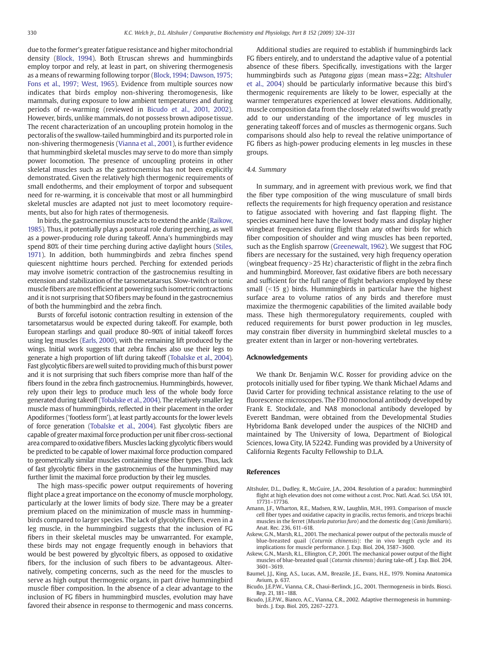<span id="page-6-0"></span>due to the former's greater fatigue resistance and higher mitochondrial density ([Block, 1994\)](#page-7-0). Both Etruscan shrews and hummingbirds employ torpor and rely, at least in part, on shivering thermogenesis as a means of rewarming following torpor ([Block, 1994; Dawson, 1975;](#page-7-0) [Fons et al., 1997; West, 1965](#page-7-0)). Evidence from multiple sources now indicates that birds employ non-shivering theromogenesis, like mammals, during exposure to low ambient temperatures and during periods of re-warming (reviewed in Bicudo et al., 2001, 2002). However, birds, unlike mammals, do not possess brown adipose tissue. The recent characterization of an uncoupling protein homolog in the pectoralis of the swallow-tailed hummingbird and its purported role in non-shivering thermogenesis ([Vianna et al., 2001\)](#page-7-0), is further evidence that hummingbird skeletal muscles may serve to do more than simply power locomotion. The presence of uncoupling proteins in other skeletal muscles such as the gastrocnemius has not been explicitly demonstrated. Given the relatively high thermogenic requirements of small endotherms, and their employment of torpor and subsequent need for re-warming, it is conceivable that most or all hummingbird skeletal muscles are adapted not just to meet locomotory requirements, but also for high rates of thermogenesis.

In birds, the gastrocnemius muscle acts to extend the ankle ([Raikow,](#page-7-0) [1985](#page-7-0)). Thus, it potentially plays a postural role during perching, as well as a power-producing role during takeoff. Anna's hummingbirds may spend 80% of their time perching during active daylight hours [\(Stiles,](#page-7-0) [1971\)](#page-7-0). In addition, both hummingbirds and zebra finches spend quiescent nighttime hours perched. Perching for extended periods may involve isometric contraction of the gastrocnemius resulting in extension and stabilization of the tarsometatarsus. Slow-twitch or tonic muscle fibers are most efficient at powering such isometric contractions and it is not surprising that SO fibers may be found in the gastrocnemius of both the hummingbird and the zebra finch.

Bursts of forceful isotonic contraction resulting in extension of the tarsometatarsus would be expected during takeoff. For example, both European starlings and quail produce 80–90% of initial takeoff forces using leg muscles ([Earls, 2000](#page-7-0)), with the remaining lift produced by the wings. Initial work suggests that zebra finches also use their legs to generate a high proportion of lift during takeoff [\(Tobalske et al., 2004](#page-7-0)). Fast glycolytic fibers are well suited to providing much of this burst power and it is not surprising that such fibers comprise more than half of the fibers found in the zebra finch gastrocnemius. Hummingbirds, however, rely upon their legs to produce much less of the whole body force generated during takeoff ([Tobalske et al., 2004\)](#page-7-0). The relatively smaller leg muscle mass of hummingbirds, reflected in their placement in the order Apodiformes ('footless form'), at least partly accounts for the lower levels of force generation ([Tobalske et al., 2004](#page-7-0)). Fast glycolytic fibers are capable of greater maximal force production per unit fiber cross-sectional area compared to oxidative fibers. Muscles lacking glycolytic fibers would be predicted to be capable of lower maximal force production compared to geometrically similar muscles containing these fiber types. Thus, lack of fast glycolytic fibers in the gastrocnemius of the hummingbird may further limit the maximal force production by their leg muscles.

The high mass-specific power output requirements of hovering flight place a great importance on the economy of muscle morphology, particularly at the lower limits of body size. There may be a greater premium placed on the minimization of muscle mass in hummingbirds compared to larger species. The lack of glycolytic fibers, even in a leg muscle, in the hummingbird suggests that the inclusion of FG fibers in their skeletal muscles may be unwarranted. For example, these birds may not engage frequently enough in behaviors that would be best powered by glycoltyic fibers, as opposed to oxidative fibers, for the inclusion of such fibers to be advantageous. Alternatively, competing concerns, such as the need for the muscles to serve as high output thermogenic organs, in part drive hummingbird muscle fiber composition. In the absence of a clear advantage to the inclusion of FG fibers in hummingbird muscles, evolution may have favored their absence in response to thermogenic and mass concerns.

Additional studies are required to establish if hummingbirds lack FG fibers entirely, and to understand the adaptive value of a potential absence of these fibers. Specifically, investigations with the larger hummingbirds such as Patagona gigas (mean mass=22g; Altshuler et al., 2004) should be particularly informative because this bird's thermogenic requirements are likely to be lower, especially at the warmer temperatures experienced at lower elevations. Additionally, muscle composition data from the closely related swifts would greatly add to our understanding of the importance of leg muscles in generating takeoff forces and of muscles as thermogenic organs. Such comparisons should also help to reveal the relative unimportance of FG fibers as high-power producing elements in leg muscles in these groups.

#### 4.4. Summary

In summary, and in agreement with previous work, we find that the fiber type composition of the wing musculature of small birds reflects the requirements for high frequency operation and resistance to fatigue associated with hovering and fast flapping flight. The species examined here have the lowest body mass and display higher wingbeat frequencies during flight than any other birds for which fiber composition of shoulder and wing muscles has been reported, such as the English sparrow ([Greenewalt, 1962\)](#page-7-0). We suggest that FOG fibers are necessary for the sustained, very high frequency operation (wingbeat frequency  $>$  25 Hz) characteristic of flight in the zebra finch and hummingbird. Moreover, fast oxidative fibers are both necessary and sufficient for the full range of flight behaviors employed by these small  $($ <15 g) birds. Hummingbirds in particular have the highest surface area to volume ratios of any birds and therefore must maximize the thermogenic capabilities of the limited available body mass. These high thermoregulatory requirements, coupled with reduced requirements for burst power production in leg muscles, may constrain fiber diversity in hummingbird skeletal muscles to a greater extent than in larger or non-hovering vertebrates.

#### Acknowledgements

We thank Dr. Benjamin W.C. Rosser for providing advice on the protocols initially used for fiber typing. We thank Michael Adams and David Carter for providing technical assistance relating to the use of fluorescence microscopes. The F30 monoclonal antibody developed by Frank E. Stockdale, and NA8 monoclonal antibody developed by Everett Bandman, were obtained from the Developmental Studies Hybridoma Bank developed under the auspices of the NICHD and maintained by The University of Iowa, Department of Biological Sciences, Iowa City, IA 52242. Funding was provided by a University of California Regents Faculty Fellowship to D.L.A.

#### References

- Altshuler, D.L., Dudley, R., McGuire, J.A., 2004. Resolution of a paradox: hummingbird flight at high elevation does not come without a cost. Proc. Natl. Acad. Sci. USA 101, 17731–17736.
- Amann, J.F., Wharton, R.E., Madsen, R.W., Laughlin, M.H., 1993. Comparison of muscle cell fiber types and oxidative capacity in gracilis, rectus femoris, and triceps brachii muscles in the ferret (Mustela putorius furo) and the domestic dog (Canis familiaris). Anat. Rec. 236, 611–618.
- Askew, G.N., Marsh, R.L., 2001. The mechanical power output of the pectoralis muscle of blue-breasted quail (Coturnix chinensis): the in vivo length cycle and its implications for muscle performance. J. Exp. Biol. 204, 3587–3600.
- Askew, G.N., Marsh, R.L., Ellington, C.P., 2001. The mechanical power output of the flight muscles of blue-breasted quail (Coturnix chinensis) during take-off. J. Exp. Biol. 204, 3601–3619.
- Baumel, J.J., King, A.S., Lucas, A.M., Breazile, J.E., Evans, H.E., 1979. Nomina Anatomica Avium, p. 637.
- Bicudo, J.E.P.W., Vianna, C.R., Chaui-Berlinck, J.G., 2001. Thermogenesis in birds. Biosci. Rep. 21, 181–188.
- Bicudo, J.E.P.W., Bianco, A.C., Vianna, C.R., 2002. Adaptive thermogenesis in hummingbirds. J. Exp. Biol. 205, 2267–2273.